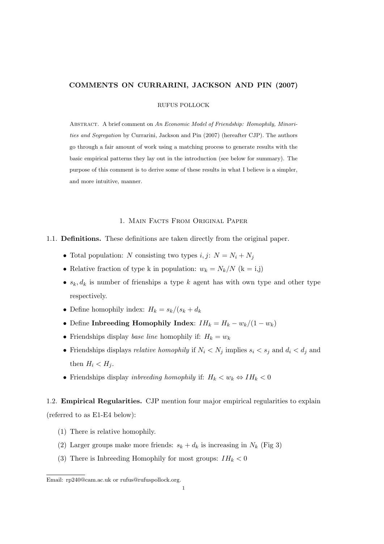## COMMENTS ON CURRARINI, JACKSON AND PIN (2007)

RUFUS POLLOCK

Abstract. A brief comment on An Economic Model of Friendship: Homophily, Minorities and Segregation by Currarini, Jackson and Pin (2007) (hereafter CJP). The authors go through a fair amount of work using a matching process to generate results with the basic empirical patterns they lay out in the introduction (see below for summary). The purpose of this comment is to derive some of these results in what I believe is a simpler, and more intuitive, manner.

#### 1. Main Facts From Original Paper

- 1.1. Definitions. These definitions are taken directly from the original paper.
	- Total population: N consisting two types  $i, j: N = N_i + N_j$
	- Relative fraction of type k in population:  $w_k = N_k/N$  (k = i,j)
	- $s_k, d_k$  is number of frienships a type k agent has with own type and other type respectively.
	- Define homophily index:  $H_k = s_k/(s_k + d_k)$
	- Define Inbreeding Homophily Index:  $IH_k = H_k w_k/(1 w_k)$
	- Friendships display base line homophily if:  $H_k = w_k$
	- Friendships displays *relative homophily* if  $N_i \langle N_j \rangle$  implies  $s_i \langle s_j \rangle$  and  $d_i \langle d_j \rangle$  and then  $H_i < H_j$ .
	- Friendships display *inhreeding homophily* if:  $H_k < w_k \Leftrightarrow IH_k < 0$

1.2. Empirical Regularities. CJP mention four major empirical regularities to explain (referred to as E1-E4 below):

- (1) There is relative homophily.
- (2) Larger groups make more friends:  $s_k + d_k$  is increasing in  $N_k$  (Fig 3)
- (3) There is Inbreeding Homophily for most groups:  $IH_k < 0$

Email: rp240@cam.ac.uk or rufus@rufuspollock.org.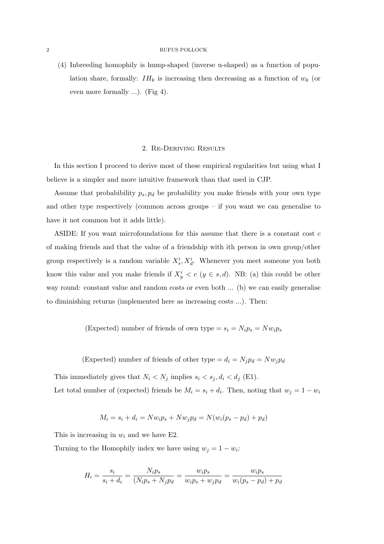#### 2 RUFUS POLLOCK

(4) Inbreeding homophily is hump-shaped (inverse u-shaped) as a function of population share, formally:  $IH_k$  is increasing then decreasing as a function of  $w_k$  (or even more formally ...). (Fig 4).

### 2. Re-Deriving Results

In this section I proceed to derive most of these empirical regularities but using what I believe is a simpler and more intuitive framework than that used in CJP.

Assume that probability  $p_s$ ,  $p_d$  be probability you make friends with your own type and other type respectively (common across groups – if you want we can generalise to have it not common but it adds little).

ASIDE: If you want microfoundations for this assume that there is a constant cost c of making friends and that the value of a friendship with ith person in own group/other group respectively is a random variable  $X_s^i, X_d^i$ . Whenever you meet someone you both know this value and you make friends if  $X_y^i < c$  ( $y \in s, d$ ). NB: (a) this could be other way round: constant value and random costs or even both ... (b) we can easily generalise to diminishing returns (implemented here as increasing costs ...). Then:

(Expected) number of friends of own type =  $s_i = N_i p_s = N w_i p_s$ 

(Expected) number of friends of other type =  $d_i = N_j p_d = N w_j p_d$ 

This immediately gives that  $N_i < N_j$  implies  $s_i < s_j, d_i < d_j$  (E1). Let total number of (expected) friends be  $M_i = s_i + d_i$ . Then, noting that  $w_j = 1 - w_i$ 

$$
M_i = s_i + d_i = Nw_i p_s + Nw_j p_d = N(w_i (p_s - p_d) + p_d)
$$

This is increasing in  $w_i$  and we have E2.

Turning to the Homophily index we have using  $w_j = 1 - w_i$ :

$$
H_i = \frac{s_i}{s_i + d_i} = \frac{N_i p_s}{(N_i p_s + N_j p_d)} = \frac{w_i p_s}{w_i p_s + w_j p_d} = \frac{w_i p_s}{w_i (p_s - p_d) + p_d}
$$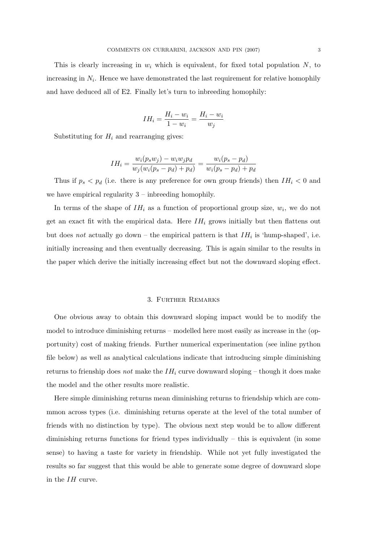This is clearly increasing in  $w_i$  which is equivalent, for fixed total population  $N$ , to increasing in  $N_i$ . Hence we have demonstrated the last requirement for relative homophily and have deduced all of E2. Finally let's turn to inbreeding homophily:

$$
IH_i = \frac{H_i - w_i}{1 - w_i} = \frac{H_i - w_i}{w_j}
$$

Substituting for  $H_i$  and rearranging gives:

$$
IH_i = \frac{w_i(p_s w_j) - w_i w_j p_d}{w_j(w_i(p_s - p_d) + p_d)} = \frac{w_i(p_s - p_d)}{w_i(p_s - p_d) + p_d}
$$

Thus if  $p_s < p_d$  (i.e. there is any preference for own group friends) then  $IH_i < 0$  and we have empirical regularity  $3$  – inbreeding homophily.

In terms of the shape of  $IH_i$  as a function of proportional group size,  $w_i$ , we do not get an exact fit with the empirical data. Here  $IH_i$  grows initially but then flattens out but does not actually go down – the empirical pattern is that  $IH_i$  is 'hump-shaped', i.e. initially increasing and then eventually decreasing. This is again similar to the results in the paper which derive the initially increasing effect but not the downward sloping effect.

### 3. Further Remarks

One obvious away to obtain this downward sloping impact would be to modify the model to introduce diminishing returns – modelled here most easily as increase in the (opportunity) cost of making friends. Further numerical experimentation (see inline python file below) as well as analytical calculations indicate that introducing simple diminishing returns to frienship does not make the  $IH_i$  curve downward sloping – though it does make the model and the other results more realistic.

Here simple diminishing returns mean diminishing returns to friendship which are commmon across types (i.e. diminishing returns operate at the level of the total number of friends with no distinction by type). The obvious next step would be to allow different diminishing returns functions for friend types individually – this is equivalent (in some sense) to having a taste for variety in friendship. While not yet fully investigated the results so far suggest that this would be able to generate some degree of downward slope in the IH curve.